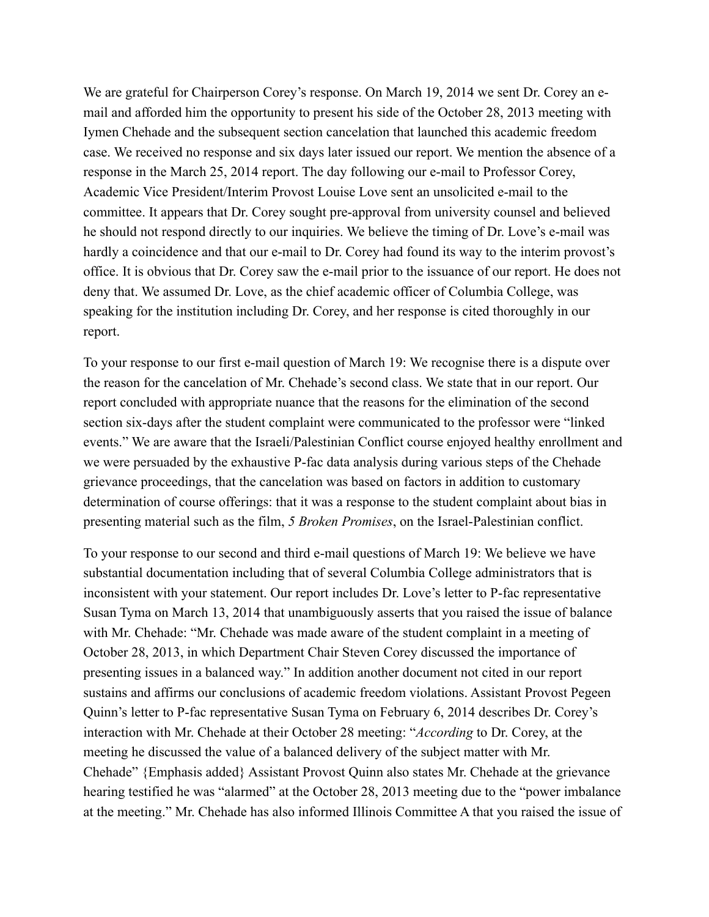We are grateful for Chairperson Corey's response. On March 19, 2014 we sent Dr. Corey an email and afforded him the opportunity to present his side of the October 28, 2013 meeting with Iymen Chehade and the subsequent section cancelation that launched this academic freedom case. We received no response and six days later issued our report. We mention the absence of a response in the March 25, 2014 report. The day following our e-mail to Professor Corey, Academic Vice President/Interim Provost Louise Love sent an unsolicited e-mail to the committee. It appears that Dr. Corey sought pre-approval from university counsel and believed he should not respond directly to our inquiries. We believe the timing of Dr. Love's e-mail was hardly a coincidence and that our e-mail to Dr. Corey had found its way to the interim provost's office. It is obvious that Dr. Corey saw the e-mail prior to the issuance of our report. He does not deny that. We assumed Dr. Love, as the chief academic officer of Columbia College, was speaking for the institution including Dr. Corey, and her response is cited thoroughly in our report.

To your response to our first e-mail question of March 19: We recognise there is a dispute over the reason for the cancelation of Mr. Chehade's second class. We state that in our report. Our report concluded with appropriate nuance that the reasons for the elimination of the second section six-days after the student complaint were communicated to the professor were "linked events." We are aware that the Israeli/Palestinian Conflict course enjoyed healthy enrollment and we were persuaded by the exhaustive P-fac data analysis during various steps of the Chehade grievance proceedings, that the cancelation was based on factors in addition to customary determination of course offerings: that it was a response to the student complaint about bias in presenting material such as the film, *5 Broken Promises*, on the Israel-Palestinian conflict.

To your response to our second and third e-mail questions of March 19: We believe we have substantial documentation including that of several Columbia College administrators that is inconsistent with your statement. Our report includes Dr. Love's letter to P-fac representative Susan Tyma on March 13, 2014 that unambiguously asserts that you raised the issue of balance with Mr. Chehade: "Mr. Chehade was made aware of the student complaint in a meeting of October 28, 2013, in which Department Chair Steven Corey discussed the importance of presenting issues in a balanced way." In addition another document not cited in our report sustains and affirms our conclusions of academic freedom violations. Assistant Provost Pegeen Quinn's letter to P-fac representative Susan Tyma on February 6, 2014 describes Dr. Corey's interaction with Mr. Chehade at their October 28 meeting: "*According* to Dr. Corey, at the meeting he discussed the value of a balanced delivery of the subject matter with Mr. Chehade" {Emphasis added} Assistant Provost Quinn also states Mr. Chehade at the grievance hearing testified he was "alarmed" at the October 28, 2013 meeting due to the "power imbalance" at the meeting." Mr. Chehade has also informed Illinois Committee A that you raised the issue of